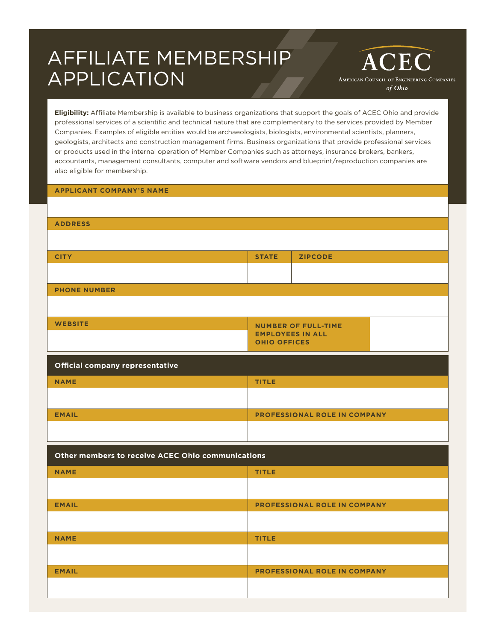## AFFILIATE MEMBERSHIP APPLICATION

**ACEC** AMERICAN COUNCIL OF ENGINEERING COMPANIES of Ohio

**Eligibility:** Affiliate Membership is available to business organizations that support the goals of ACEC Ohio and provide professional services of a scientific and technical nature that are complementary to the services provided by Member Companies. Examples of eligible entities would be archaeologists, biologists, environmental scientists, planners, geologists, architects and construction management firms. Business organizations that provide professional services or products used in the internal operation of Member Companies such as attorneys, insurance brokers, bankers, accountants, management consultants, computer and software vendors and blueprint/reproduction companies are also eligible for membership.

## **APPLICANT COMPANY'S NAME**

| <b>ADDRESS</b>                                    |                                                       |                                     |  |  |  |
|---------------------------------------------------|-------------------------------------------------------|-------------------------------------|--|--|--|
|                                                   |                                                       |                                     |  |  |  |
| <b>CITY</b>                                       | <b>STATE</b>                                          | <b>ZIPCODE</b>                      |  |  |  |
|                                                   |                                                       |                                     |  |  |  |
|                                                   |                                                       |                                     |  |  |  |
| <b>PHONE NUMBER</b>                               |                                                       |                                     |  |  |  |
|                                                   |                                                       |                                     |  |  |  |
| <b>WEBSITE</b>                                    |                                                       |                                     |  |  |  |
|                                                   | <b>NUMBER OF FULL-TIME</b><br><b>EMPLOYEES IN ALL</b> |                                     |  |  |  |
|                                                   | <b>OHIO OFFICES</b>                                   |                                     |  |  |  |
|                                                   |                                                       |                                     |  |  |  |
| Official company representative                   |                                                       |                                     |  |  |  |
| <b>NAME</b>                                       | <b>TITLE</b>                                          |                                     |  |  |  |
|                                                   |                                                       |                                     |  |  |  |
|                                                   | PROFESSIONAL ROLE IN COMPANY                          |                                     |  |  |  |
| <b>EMAIL</b>                                      |                                                       |                                     |  |  |  |
|                                                   |                                                       |                                     |  |  |  |
|                                                   |                                                       |                                     |  |  |  |
| Other members to receive ACEC Ohio communications |                                                       |                                     |  |  |  |
| <b>NAME</b>                                       | <b>TITLE</b>                                          |                                     |  |  |  |
|                                                   |                                                       |                                     |  |  |  |
|                                                   |                                                       |                                     |  |  |  |
| <b>EMAIL</b>                                      |                                                       | PROFESSIONAL ROLE IN COMPANY        |  |  |  |
|                                                   |                                                       |                                     |  |  |  |
| <b>NAME</b>                                       | <b>TITLE</b>                                          |                                     |  |  |  |
|                                                   |                                                       |                                     |  |  |  |
|                                                   |                                                       |                                     |  |  |  |
| <b>EMAIL</b>                                      |                                                       | <b>PROFESSIONAL ROLE IN COMPANY</b> |  |  |  |
|                                                   |                                                       |                                     |  |  |  |